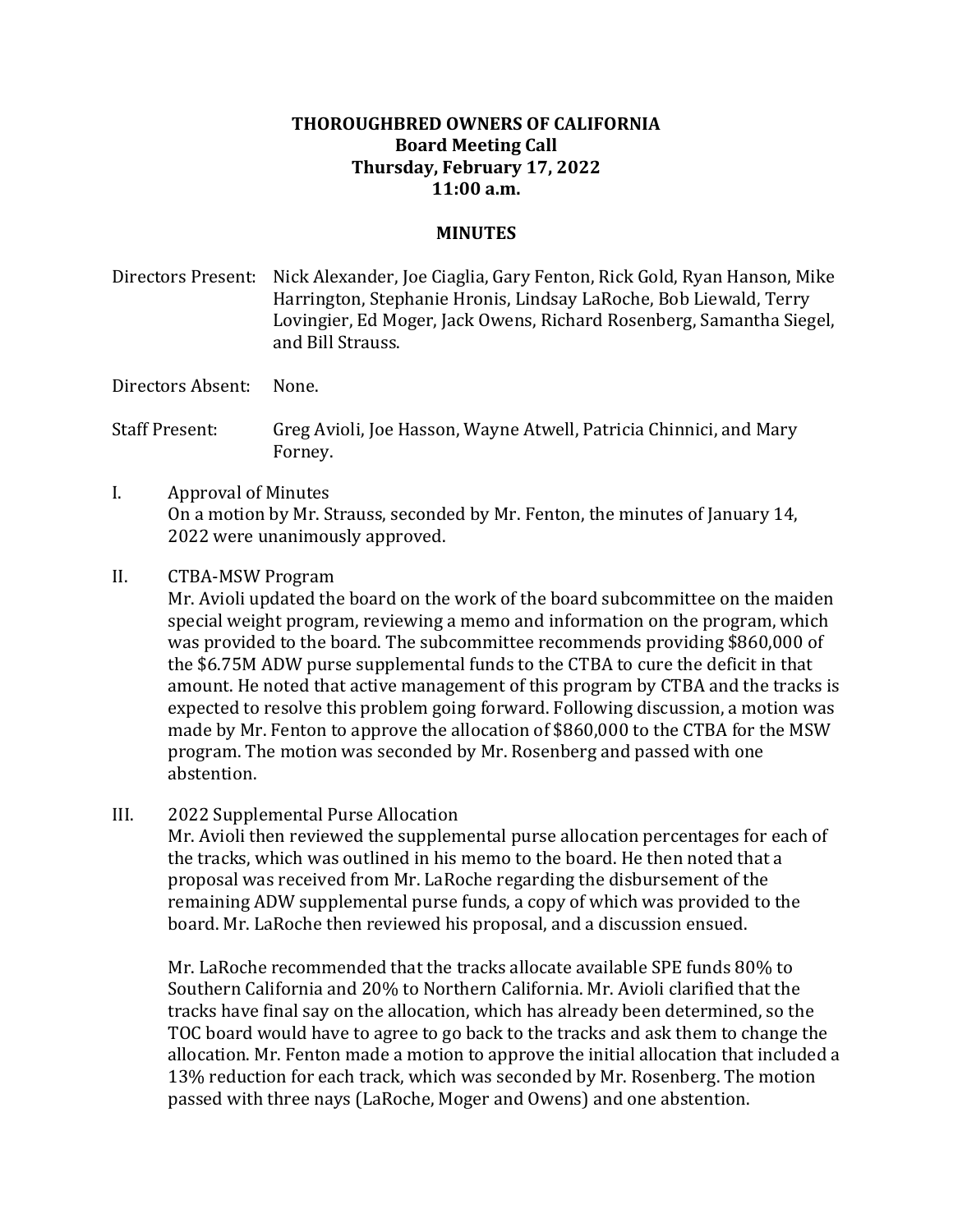## **THOROUGHBRED OWNERS OF CALIFORNIA Board Meeting Call Thursday, February 17, 2022 11:00 a.m.**

## **MINUTES**

Directors Present: Nick Alexander, Joe Ciaglia, Gary Fenton, Rick Gold, Ryan Hanson, Mike Harrington, Stephanie Hronis, Lindsay LaRoche, Bob Liewald, Terry Lovingier, Ed Moger, Jack Owens, Richard Rosenberg, Samantha Siegel, and Bill Strauss.

Directors Absent: None.

Staff Present: Greg Avioli, Joe Hasson, Wayne Atwell, Patricia Chinnici, and Mary Forney.

- I. Approval of Minutes On a motion by Mr. Strauss, seconded by Mr. Fenton, the minutes of January 14, 2022 were unanimously approved.
- II. CTBA-MSW Program

Mr. Avioli updated the board on the work of the board subcommittee on the maiden special weight program, reviewing a memo and information on the program, which was provided to the board. The subcommittee recommends providing \$860,000 of the \$6.75M ADW purse supplemental funds to the CTBA to cure the deficit in that amount. He noted that active management of this program by CTBA and the tracks is expected to resolve this problem going forward. Following discussion, a motion was made by Mr. Fenton to approve the allocation of \$860,000 to the CTBA for the MSW program. The motion was seconded by Mr. Rosenberg and passed with one abstention.

III. 2022 Supplemental Purse Allocation

Mr. Avioli then reviewed the supplemental purse allocation percentages for each of the tracks, which was outlined in his memo to the board. He then noted that a proposal was received from Mr. LaRoche regarding the disbursement of the remaining ADW supplemental purse funds, a copy of which was provided to the board. Mr. LaRoche then reviewed his proposal, and a discussion ensued.

Mr. LaRoche recommended that the tracks allocate available SPE funds 80% to Southern California and 20% to Northern California. Mr. Avioli clarified that the tracks have final say on the allocation, which has already been determined, so the TOC board would have to agree to go back to the tracks and ask them to change the allocation. Mr. Fenton made a motion to approve the initial allocation that included a 13% reduction for each track, which was seconded by Mr. Rosenberg. The motion passed with three nays (LaRoche, Moger and Owens) and one abstention.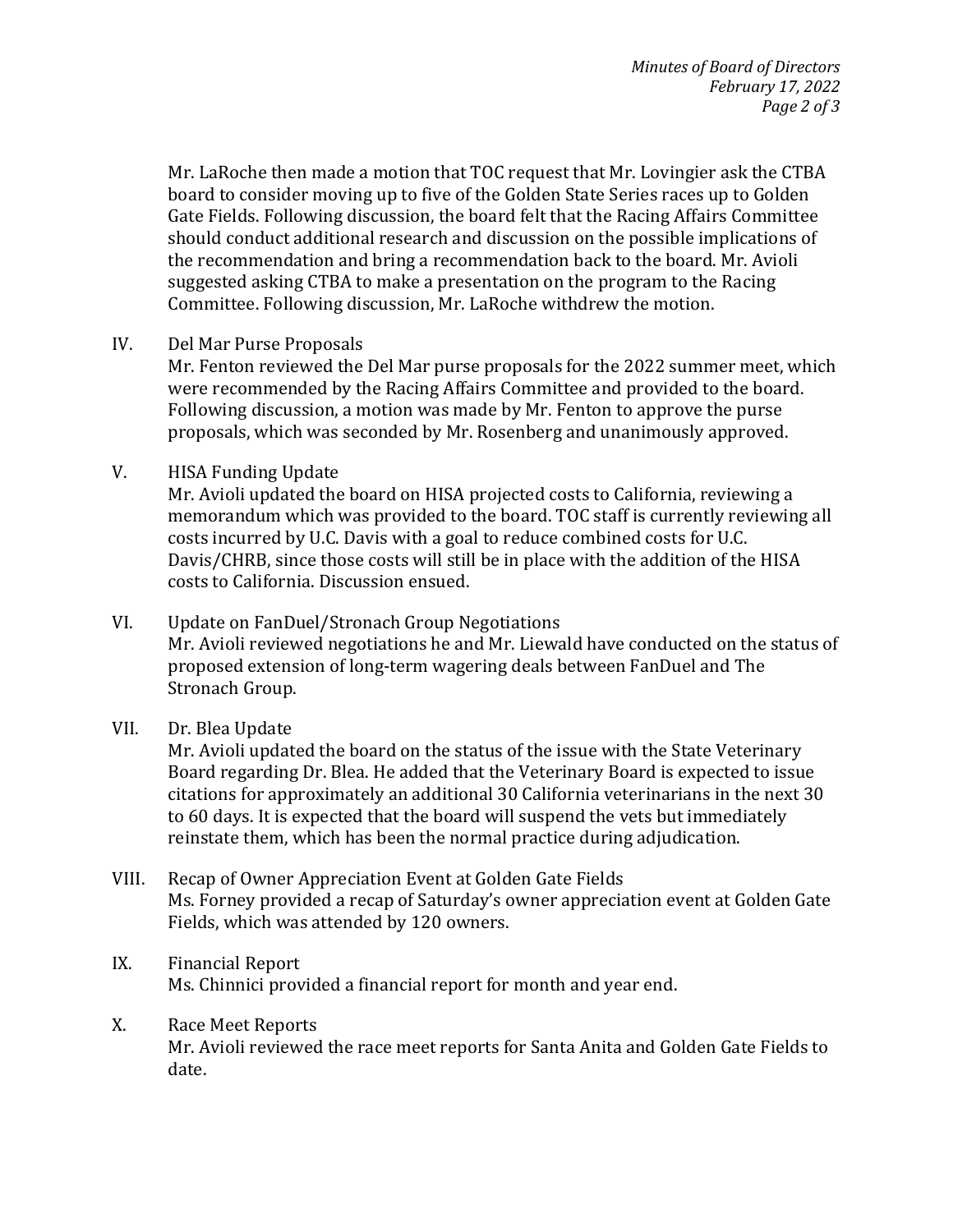Mr. LaRoche then made a motion that TOC request that Mr. Lovingier ask the CTBA board to consider moving up to five of the Golden State Series races up to Golden Gate Fields. Following discussion, the board felt that the Racing Affairs Committee should conduct additional research and discussion on the possible implications of the recommendation and bring a recommendation back to the board. Mr. Avioli suggested asking CTBA to make a presentation on the program to the Racing Committee. Following discussion, Mr. LaRoche withdrew the motion.

IV. Del Mar Purse Proposals

Mr. Fenton reviewed the Del Mar purse proposals for the 2022 summer meet, which were recommended by the Racing Affairs Committee and provided to the board. Following discussion, a motion was made by Mr. Fenton to approve the purse proposals, which was seconded by Mr. Rosenberg and unanimously approved.

V. HISA Funding Update

Mr. Avioli updated the board on HISA projected costs to California, reviewing a memorandum which was provided to the board. TOC staff is currently reviewing all costs incurred by U.C. Davis with a goal to reduce combined costs for U.C. Davis/CHRB, since those costs will still be in place with the addition of the HISA costs to California. Discussion ensued.

- VI. Update on FanDuel/Stronach Group Negotiations Mr. Avioli reviewed negotiations he and Mr. Liewald have conducted on the status of proposed extension of long-term wagering deals between FanDuel and The Stronach Group.
- VII. Dr. Blea Update

Mr. Avioli updated the board on the status of the issue with the State Veterinary Board regarding Dr. Blea. He added that the Veterinary Board is expected to issue citations for approximately an additional 30 California veterinarians in the next 30 to 60 days. It is expected that the board will suspend the vets but immediately reinstate them, which has been the normal practice during adjudication.

- VIII. Recap of Owner Appreciation Event at Golden Gate Fields Ms. Forney provided a recap of Saturday's owner appreciation event at Golden Gate Fields, which was attended by 120 owners.
- IX. Financial Report Ms. Chinnici provided a financial report for month and year end.
- X. Race Meet Reports

Mr. Avioli reviewed the race meet reports for Santa Anita and Golden Gate Fields to date.